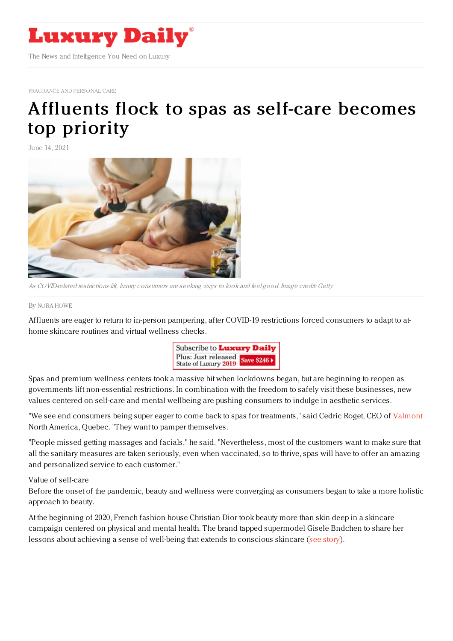

[FRAGRANCE](https://www.luxurydaily.com/category/sectors/fragrance-and-personal-care/) AND PERSONAL CARE

## [Affluents](https://www.luxurydaily.com/post-pandemic-spa-surge/) flock to spas as self-care becomes top priority

June 14, 2021



As COVID-related restrictions lift, luxury consumers are seeking ways to look and feel good. Image credit: Getty

## By NORA [HOWE](file:///author/nora-howe)

Affluents are eager to return to in-person pampering, after COVID-19 restrictions forced consumers to adapt to athome skincare routines and virtual wellness checks.



Spas and premium wellness centers took a massive hit when lockdowns began, but are beginning to reopen as governments lift non-essential restrictions. In combination with the freedom to safely visit these businesses, new values centered on self-care and mental wellbeing are pushing consumers to indulge in aesthetic services.

"We see end consumers being super eager to come back to spas for treatments," said Cedric Roget, CEO of [Valmont](https://www.lamaisonvalmont.com/us/en/) North America, Quebec. "They want to pamper themselves.

"People missed getting massages and facials," he said. "Nevertheless, most of the customers want to make sure that all the sanitary measures are taken seriously, even when vaccinated, so to thrive, spas will have to offer an amazing and personalized service to each customer."

## Value of self-care

Before the onset of the pandemic, beauty and wellness were converging as consumers began to take a more holistic approach to beauty.

At the beginning of 2020, French fashion house Christian Dior took beauty more than skin deep in a skincare campaign centered on physical and mental health. The brand tapped supermodel Gisele Bndchen to share her lessons about achieving a sense of well-being that extends to conscious skincare (see [story](https://www.luxurydaily.com/dior-leads-with-wellness-for-supermodel-skincare-push/)).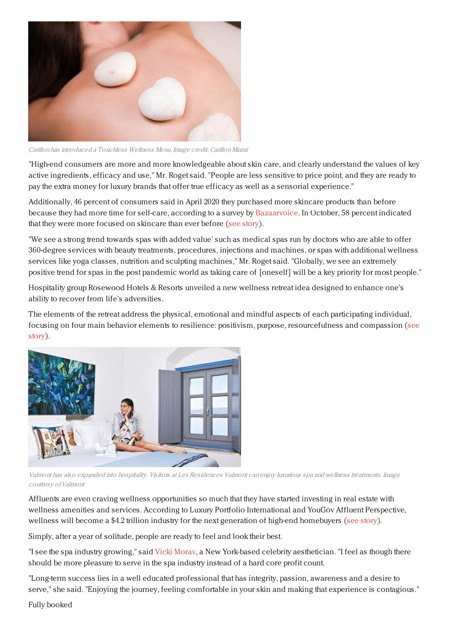

Carillon has introduced <sup>a</sup> Touchless Wellness Menu. Image credit: CarillonMiami

"High-end consumers are more and more knowledgeable about skin care, and clearly understand the values of key active ingredients, efficacy and use," Mr. Roget said. "People are less sensitive to price point, and they are ready to pay the extra money for luxury brands that offer true efficacy as well as a sensorial experience."

Additionally, 46 percent of consumers said in April 2020 they purchased more skincare products than before because they had more time for self-care, according to a survey by [Bazaarvoice](https://www.bazaarvoice.com/). In October, 58 percent indicated that they were more focused on skincare than ever before (see [story](https://www.luxurydaily.com/outlook-2021-beauty-gets-a-virtual-value-driven-lift/)).

"We see a strong trend towards spas with added value' such as medical spas run by doctors who are able to offer 360-degree services with beauty treatments, procedures, injections and machines, or spas with additional wellness services like yoga classes, nutrition and sculpting machines," Mr. Roget said. "Globally, we see an extremely positive trend for spas in the post pandemic world as taking care of [oneself] will be a key priority for most people."

Hospitality group Rosewood Hotels & Resorts unveiled a new wellness retreat idea designed to enhance one's ability to recover from life's adversities.

The elements of the retreat address the physical, emotional and mindful aspects of each participating individual, focusing on four main behavior elements to resilience: positivism, purpose, [resourcefulness](https://www.luxurydaily.com/rosewood-launches-new-wellness-retreats-worldwide/) and compassion (see story).



Valmont has also expanded into hospitality. Visitors at Les Residences Valmont can enjoy luxurious spa and wellness treatments. Image courtesy ofValmont

Affluents are even craving wellness opportunities so much that they have started investing in real estate with wellness amenities and services. According to Luxury Portfolio International and YouGov Affluent Perspective, wellness will become a \$4.2 trillion industry for the next generation of high-end homebuyers (see [story](https://www.luxurydaily.com/wellness-amenities-dominates-luxury-real-estate-demand/)).

Simply, after a year of solitude, people are ready to feel and look their best.

"I see the spa industry growing," said Vicki Moray, a New York-based celebrity aesthetician. "I feel as though there should be more pleasure to serve in the spa industry instead of a hard core profit count.

"Long-term success lies in a well educated professional that has integrity, passion, awareness and a desire to serve," she said. "Enjoying the journey, feeling comfortable in your skin and making that experience is contagious."

Fully booked